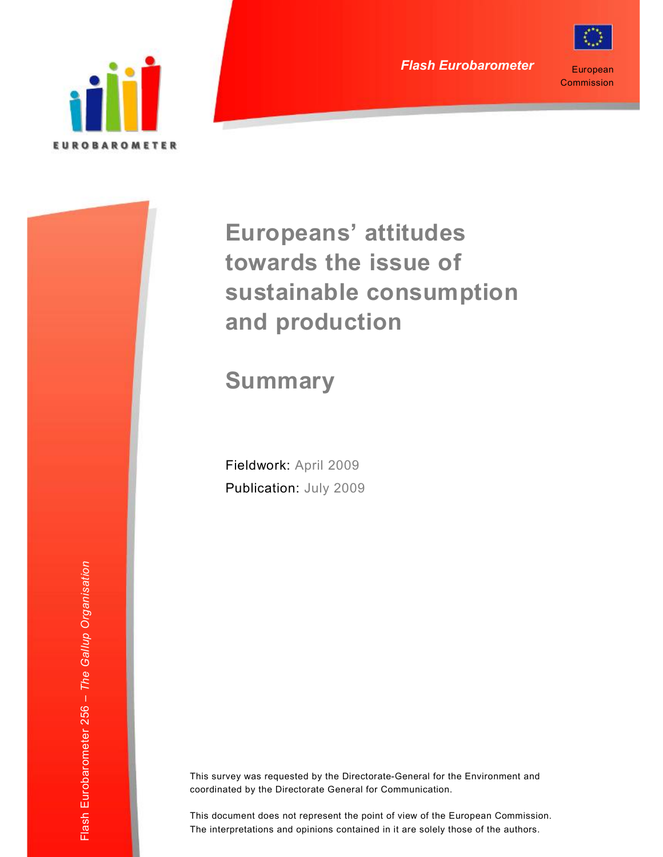

European **Commission** 

# **Europeans' attitudes towards the issue of sustainable consumption and production**

# **Summary**

Fieldwork: April 2009 Publication: July 2009

This survey was requested by the Directorate-General for the Environment and coordinated by the Directorate General for Communication.

This document does not represent the point of view of the European Commission. The interpretations and opinions contained in it are solely those of the authors.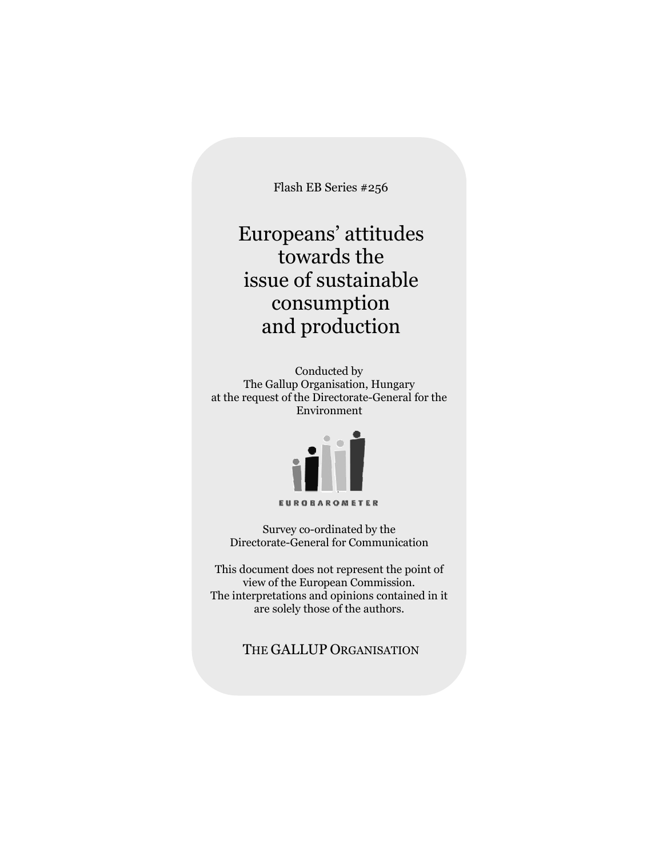Flash EB Series #256

# Europeans' attitudes towards the issue of sustainable consumption and production

Conducted by The Gallup Organisation, Hungary at the request of the Directorate-General for the Environment



Survey co-ordinated by the Directorate-General for Communication

This document does not represent the point of view of the European Commission. The interpretations and opinions contained in it are solely those of the authors.

THE GALLUP ORGANISATION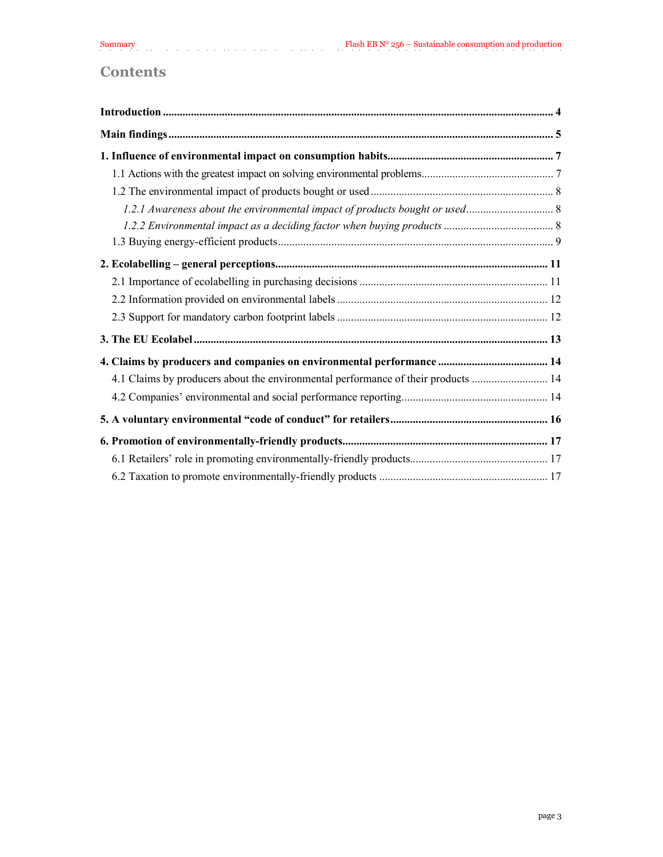# **Contents**

| 4.1 Claims by producers about the environmental performance of their products  14 |  |
|-----------------------------------------------------------------------------------|--|
|                                                                                   |  |
|                                                                                   |  |
|                                                                                   |  |
|                                                                                   |  |
|                                                                                   |  |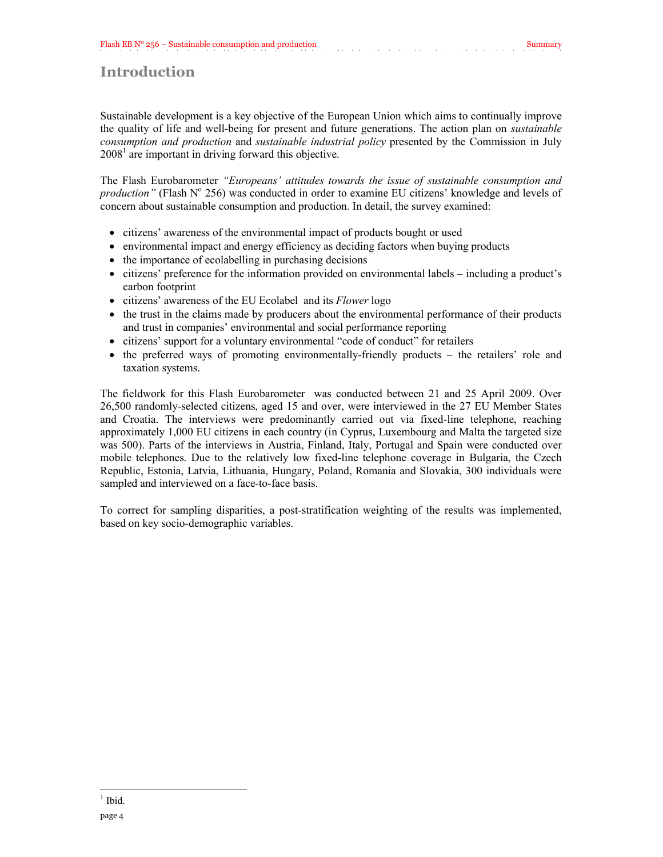# <span id="page-3-0"></span>**Introduction**

Sustainable development is a key objective of the European Union which aims to continually improve the quality of life and well-being for present and future generations. The action plan on *sustainable consumption and production* and *sustainable industrial policy* presented by the Commission in July  $2008<sup>1</sup>$  are important in driving forward this objective.

The Flash Eurobarometer *"Europeans' attitudes towards the issue of sustainable consumption and production"* (Flash N° 256) was conducted in order to examine EU citizens' knowledge and levels of concern about sustainable consumption and production. In detail, the survey examined:

- citizens' awareness of the environmental impact of products bought or used
- environmental impact and energy efficiency as deciding factors when buying products
- the importance of ecolabelling in purchasing decisions
- citizens' preference for the information provided on environmental labels including a product's carbon footprint
- citizens' awareness of the EU Ecolabel and its *Flower* logo
- the trust in the claims made by producers about the environmental performance of their products and trust in companies' environmental and social performance reporting
- citizens' support for a voluntary environmental "code of conduct" for retailers
- the preferred ways of promoting environmentally-friendly products the retailers' role and taxation systems.

The fieldwork for this Flash Eurobarometer was conducted between 21 and 25 April 2009. Over 26,500 randomly-selected citizens, aged 15 and over, were interviewed in the 27 EU Member States and Croatia. The interviews were predominantly carried out via fixed-line telephone, reaching approximately 1,000 EU citizens in each country (in Cyprus, Luxembourg and Malta the targeted size was 500). Parts of the interviews in Austria, Finland, Italy, Portugal and Spain were conducted over mobile telephones. Due to the relatively low fixed-line telephone coverage in Bulgaria, the Czech Republic, Estonia, Latvia, Lithuania, Hungary, Poland, Romania and Slovakia, 300 individuals were sampled and interviewed on a face-to-face basis.

To correct for sampling disparities, a post-stratification weighting of the results was implemented, based on key socio-demographic variables.

 $<sup>1</sup>$  Ibid.</sup>

 $\overline{\phantom{a}}$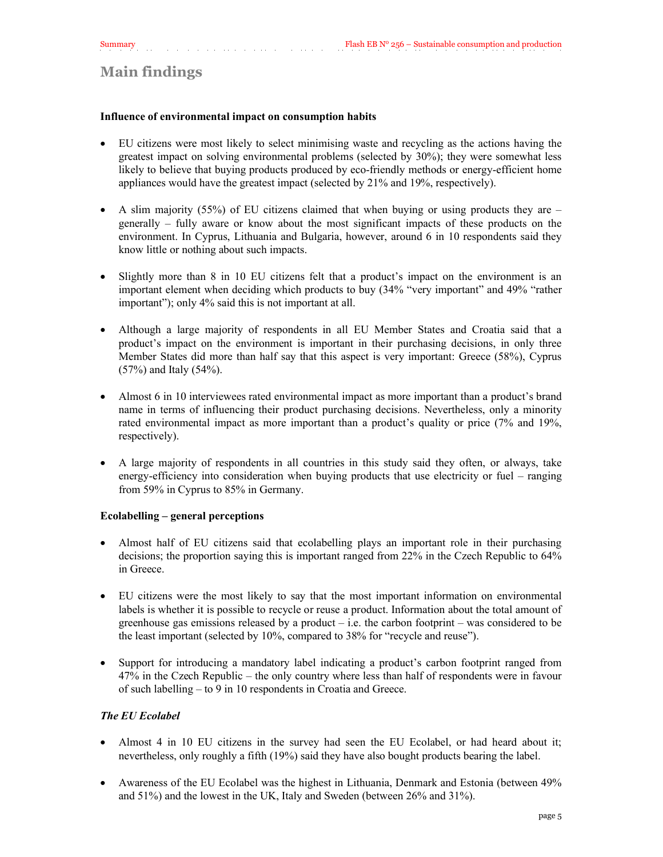# <span id="page-4-0"></span>**Main findings**

#### **Influence of environmental impact on consumption habits**

- EU citizens were most likely to select minimising waste and recycling as the actions having the greatest impact on solving environmental problems (selected by 30%); they were somewhat less likely to believe that buying products produced by eco-friendly methods or energy-efficient home appliances would have the greatest impact (selected by 21% and 19%, respectively).
- A slim majority (55%) of EU citizens claimed that when buying or using products they are  $$ generally – fully aware or know about the most significant impacts of these products on the environment. In Cyprus, Lithuania and Bulgaria, however, around 6 in 10 respondents said they know little or nothing about such impacts.
- Slightly more than 8 in 10 EU citizens felt that a product's impact on the environment is an important element when deciding which products to buy (34% "very important" and 49% "rather important"); only 4% said this is not important at all.
- Although a large majority of respondents in all EU Member States and Croatia said that a product's impact on the environment is important in their purchasing decisions, in only three Member States did more than half say that this aspect is very important: Greece (58%), Cyprus (57%) and Italy (54%).
- Almost 6 in 10 interviewees rated environmental impact as more important than a product's brand name in terms of influencing their product purchasing decisions. Nevertheless, only a minority rated environmental impact as more important than a product's quality or price (7% and 19%, respectively).
- A large majority of respondents in all countries in this study said they often, or always, take energy-efficiency into consideration when buying products that use electricity or fuel – ranging from 59% in Cyprus to 85% in Germany.

#### **Ecolabelling – general perceptions**

- Almost half of EU citizens said that ecolabelling plays an important role in their purchasing decisions; the proportion saying this is important ranged from 22% in the Czech Republic to 64% in Greece.
- EU citizens were the most likely to say that the most important information on environmental labels is whether it is possible to recycle or reuse a product. Information about the total amount of greenhouse gas emissions released by a product  $-$  i.e. the carbon footprint  $-$  was considered to be the least important (selected by 10%, compared to 38% for "recycle and reuse").
- Support for introducing a mandatory label indicating a product's carbon footprint ranged from 47% in the Czech Republic – the only country where less than half of respondents were in favour of such labelling – to 9 in 10 respondents in Croatia and Greece.

### *The EU Ecolabel*

- Almost 4 in 10 EU citizens in the survey had seen the EU Ecolabel, or had heard about it; nevertheless, only roughly a fifth (19%) said they have also bought products bearing the label.
- Awareness of the EU Ecolabel was the highest in Lithuania, Denmark and Estonia (between 49% and 51%) and the lowest in the UK, Italy and Sweden (between 26% and 31%).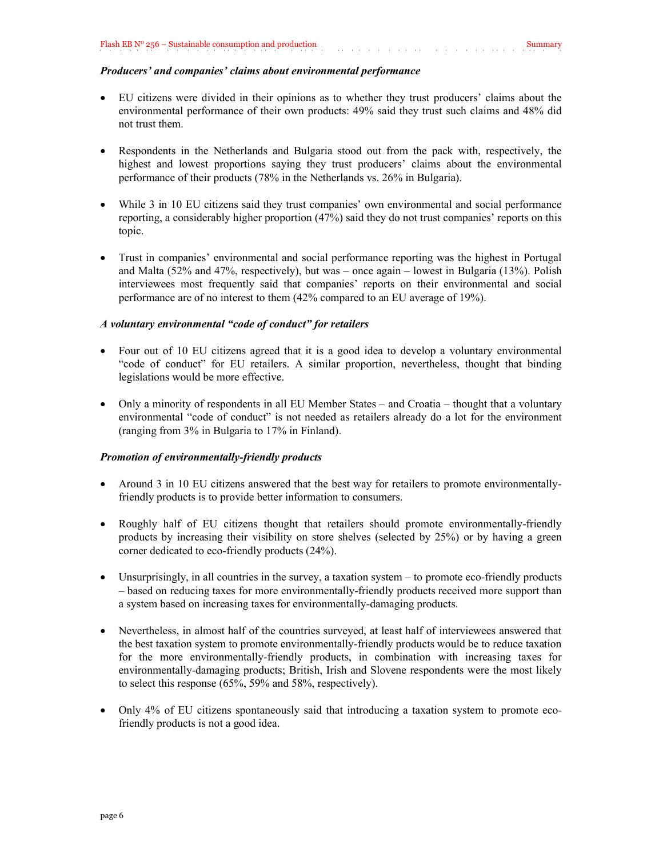#### *Producers' and companies' claims about environmental performance*

- EU citizens were divided in their opinions as to whether they trust producers' claims about the environmental performance of their own products: 49% said they trust such claims and 48% did not trust them.
- Respondents in the Netherlands and Bulgaria stood out from the pack with, respectively, the highest and lowest proportions saying they trust producers' claims about the environmental performance of their products (78% in the Netherlands vs. 26% in Bulgaria).
- While 3 in 10 EU citizens said they trust companies' own environmental and social performance reporting, a considerably higher proportion (47%) said they do not trust companies' reports on this topic.
- Trust in companies' environmental and social performance reporting was the highest in Portugal and Malta (52% and 47%, respectively), but was – once again – lowest in Bulgaria (13%). Polish interviewees most frequently said that companies' reports on their environmental and social performance are of no interest to them (42% compared to an EU average of 19%).

#### *A voluntary environmental "code of conduct" for retailers*

- Four out of 10 EU citizens agreed that it is a good idea to develop a voluntary environmental "code of conduct" for EU retailers. A similar proportion, nevertheless, thought that binding legislations would be more effective.
- Only a minority of respondents in all EU Member States and Croatia thought that a voluntary environmental "code of conduct" is not needed as retailers already do a lot for the environment (ranging from 3% in Bulgaria to 17% in Finland).

#### *Promotion of environmentally-friendly products*

- Around 3 in 10 EU citizens answered that the best way for retailers to promote environmentallyfriendly products is to provide better information to consumers.
- Roughly half of EU citizens thought that retailers should promote environmentally-friendly products by increasing their visibility on store shelves (selected by 25%) or by having a green corner dedicated to eco-friendly products (24%).
- Unsurprisingly, in all countries in the survey, a taxation system to promote eco-friendly products – based on reducing taxes for more environmentally-friendly products received more support than a system based on increasing taxes for environmentally-damaging products.
- Nevertheless, in almost half of the countries surveyed, at least half of interviewees answered that the best taxation system to promote environmentally-friendly products would be to reduce taxation for the more environmentally-friendly products, in combination with increasing taxes for environmentally-damaging products; British, Irish and Slovene respondents were the most likely to select this response (65%, 59% and 58%, respectively).
- Only 4% of EU citizens spontaneously said that introducing a taxation system to promote ecofriendly products is not a good idea.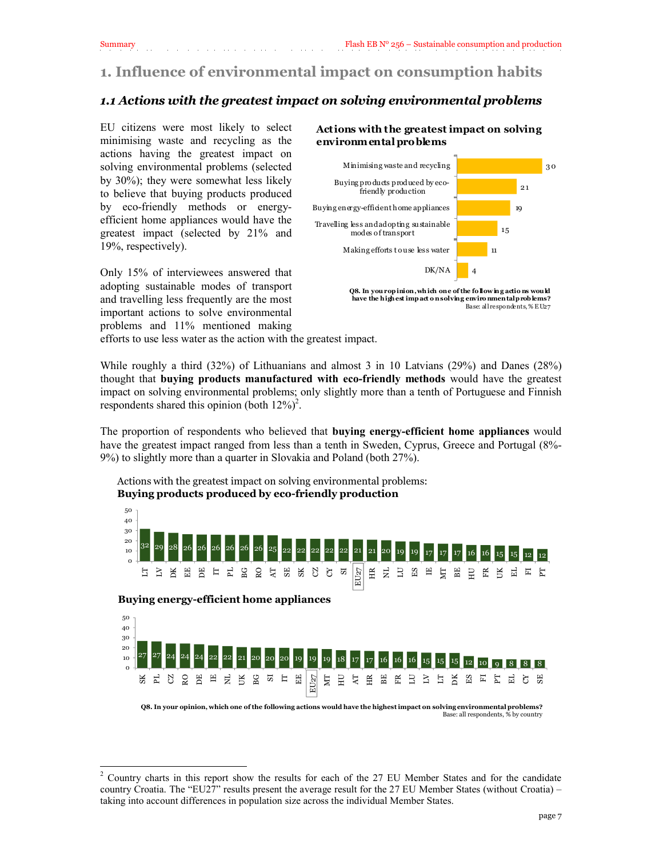<span id="page-6-0"></span>Summary Flash EB N° 256 – Sustainable consumption and production

# <span id="page-6-1"></span>**1. Influence of environmental impact on consumption habits**

# *1.1 Actions with the greatest impact on solving environmental problems*

EU citizens were most likely to select minimising waste and recycling as the actions having the greatest impact on solving environmental problems (selected by 30%); they were somewhat less likely to believe that buying products produced by eco-friendly methods or energyefficient home appliances would have the greatest impact (selected by 21% and 19%, respectively).

Only 15% of interviewees answered that adopting sustainable modes of transport and travelling less frequently are the most important actions to solve environmental problems and 11% mentioned making

#### **Actions with the greatest impact on solving environmental problems**



**Q8. In you r op inion, wh ich one of the fo llow ing actio ns would have the highest imp act o n solving enviro nmen tal p rob lems?** Base: all respondents, % E U27

efforts to use less water as the action with the greatest impact.

While roughly a third (32%) of Lithuanians and almost 3 in 10 Latvians (29%) and Danes (28%) thought that **buying products manufactured with eco-friendly methods** would have the greatest impact on solving environmental problems; only slightly more than a tenth of Portuguese and Finnish respondents shared this opinion (both  $12\%)^2$ .

The proportion of respondents who believed that **buying energy-efficient home appliances** would have the greatest impact ranged from less than a tenth in Sweden, Cyprus, Greece and Portugal (8%-9%) to slightly more than a quarter in Slovakia and Poland (both 27%).

Actions with the greatest impact on solving environmental problems: **Buying products produced by eco-friendly production**



#### **Buying energy-efficient home appliances**

 $\overline{a}$ 



**Q8. In your opinion, which one of the following actions would have the highest impact on solving environmental problems?** Base: all respondents, % by country

<sup>&</sup>lt;sup>2</sup> Country charts in this report show the results for each of the 27 EU Member States and for the candidate country Croatia. The "EU27" results present the average result for the 27 EU Member States (without Croatia) – taking into account differences in population size across the individual Member States.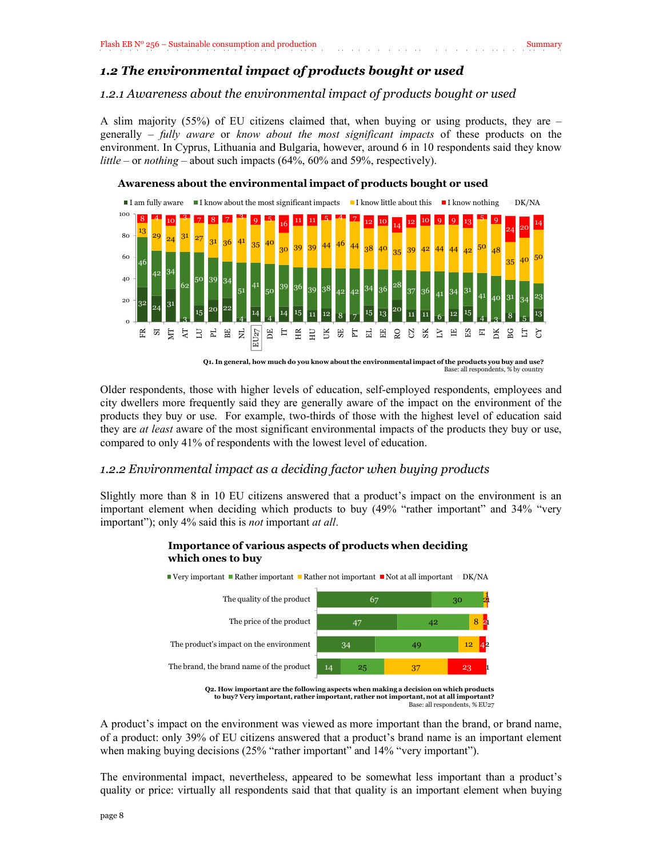#### <span id="page-7-1"></span><span id="page-7-0"></span>*1.2.1 Awareness about the environmental impact of products bought or used*

A slim majority (55%) of EU citizens claimed that, when buying or using products, they are – generally – *fully aware* or *know about the most significant impacts* of these products on the environment. In Cyprus, Lithuania and Bulgaria, however, around 6 in 10 respondents said they know *little* – or *nothing* – about such impacts (64%, 60% and 59%, respectively).



Older respondents, those with higher levels of education, self-employed respondents, employees and city dwellers more frequently said they are generally aware of the impact on the environment of the products they buy or use. For example, two-thirds of those with the highest level of education said they are *at least* aware of the most significant environmental impacts of the products they buy or use, compared to only 41% of respondents with the lowest level of education.

#### <span id="page-7-2"></span>*1.2.2 Environmental impact as a deciding factor when buying products*

Slightly more than 8 in 10 EU citizens answered that a product's impact on the environment is an important element when deciding which products to buy (49% "rather important" and 34% "very important"); only 4% said this is *not* important *at all*.

#### **Importance of various aspects of products when deciding which ones to buy**



**Q2. How important are the following aspects when making a decision on which products to buy? Very important, rather important, rather not important, not at all important?** Base: all respondents, % EU27

A product's impact on the environment was viewed as more important than the brand, or brand name, of a product: only 39% of EU citizens answered that a product's brand name is an important element when making buying decisions (25% "rather important" and 14% "very important").

The environmental impact, nevertheless, appeared to be somewhat less important than a product's quality or price: virtually all respondents said that that quality is an important element when buying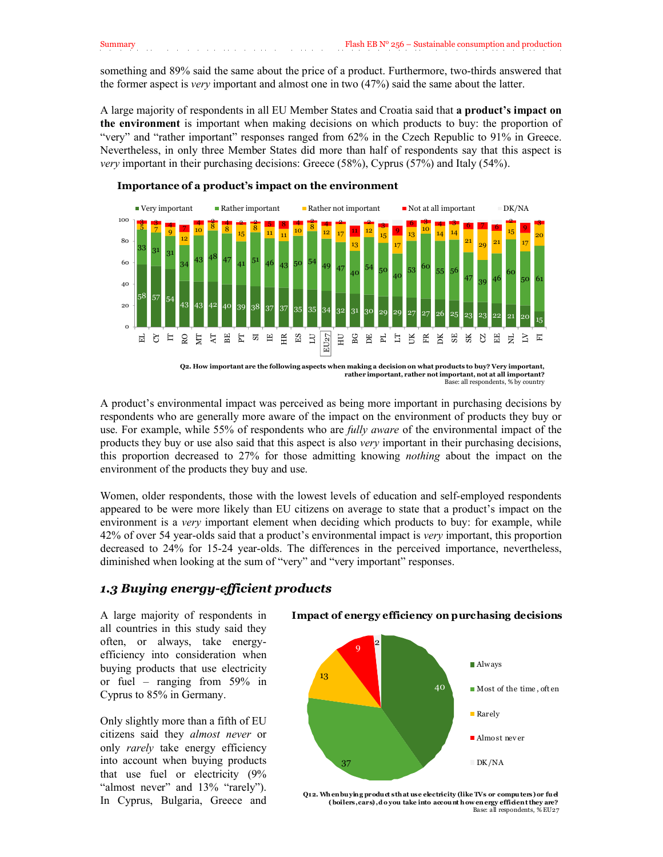something and 89% said the same about the price of a product. Furthermore, two-thirds answered that the former aspect is *very* important and almost one in two (47%) said the same about the latter.

A large majority of respondents in all EU Member States and Croatia said that **a product's impact on the environment** is important when making decisions on which products to buy: the proportion of "very" and "rather important" responses ranged from 62% in the Czech Republic to 91% in Greece. Nevertheless, in only three Member States did more than half of respondents say that this aspect is *very* important in their purchasing decisions: Greece (58%), Cyprus (57%) and Italy (54%).



#### **Importance of a product's impact on the environment**

**Q2. How important are the following aspects when making a decision on what products to buy? Very important, rather important, rather not important, not at all important?** Base: all respondents, % by country

A product's environmental impact was perceived as being more important in purchasing decisions by respondents who are generally more aware of the impact on the environment of products they buy or use. For example, while 55% of respondents who are *fully aware* of the environmental impact of the products they buy or use also said that this aspect is also *very* important in their purchasing decisions, this proportion decreased to 27% for those admitting knowing *nothing* about the impact on the environment of the products they buy and use.

Women, older respondents, those with the lowest levels of education and self-employed respondents appeared to be were more likely than EU citizens on average to state that a product's impact on the environment is a *very* important element when deciding which products to buy: for example, while 42% of over 54 year-olds said that a product's environmental impact is *very* important, this proportion decreased to 24% for 15-24 year-olds. The differences in the perceived importance, nevertheless, diminished when looking at the sum of "very" and "very important" responses.

#### <span id="page-8-0"></span>*1.3 Buying energy-efficient products*

A large majority of respondents in all countries in this study said they often, or always, take energyefficiency into consideration when buying products that use electricity or fuel – ranging from 59% in Cyprus to 85% in Germany.

Only slightly more than a fifth of EU citizens said they *almost never* or only *rarely* take energy efficiency into account when buying products that use fuel or electricity (9% "almost never" and 13% "rarely"). In Cyprus, Bulgaria, Greece and **Impact of energy efficiency on purchasing decisions**



page 9 Base: all respondents, % EU27**Q12. Wh en buyin g product s th at use electricity (like TVs or compu ters) or fu el**  (boilers, cars), do you take into account how en ergy efficient they are?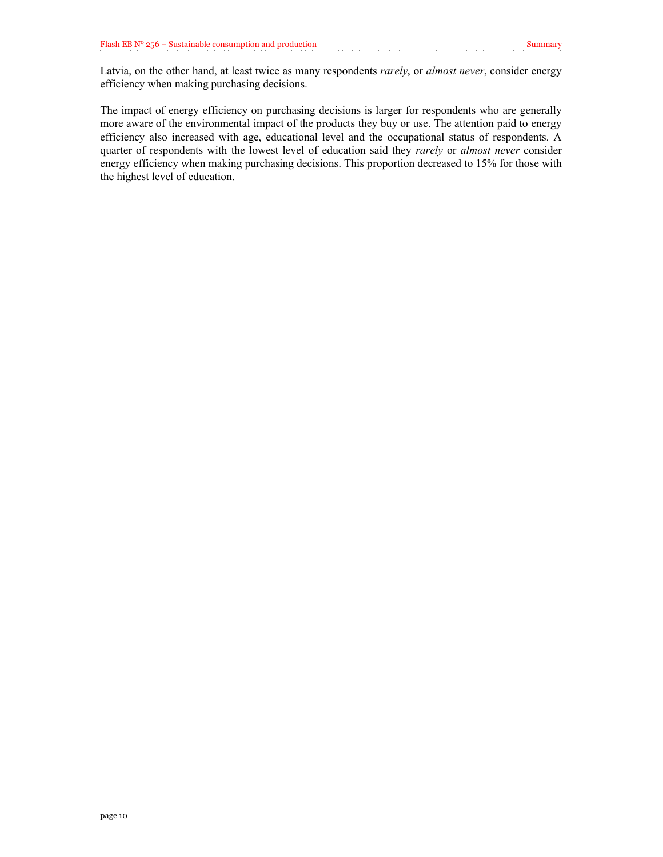Latvia, on the other hand, at least twice as many respondents *rarely*, or *almost never*, consider energy efficiency when making purchasing decisions.

The impact of energy efficiency on purchasing decisions is larger for respondents who are generally more aware of the environmental impact of the products they buy or use. The attention paid to energy efficiency also increased with age, educational level and the occupational status of respondents. A quarter of respondents with the lowest level of education said they *rarely* or *almost never* consider energy efficiency when making purchasing decisions. This proportion decreased to 15% for those with the highest level of education.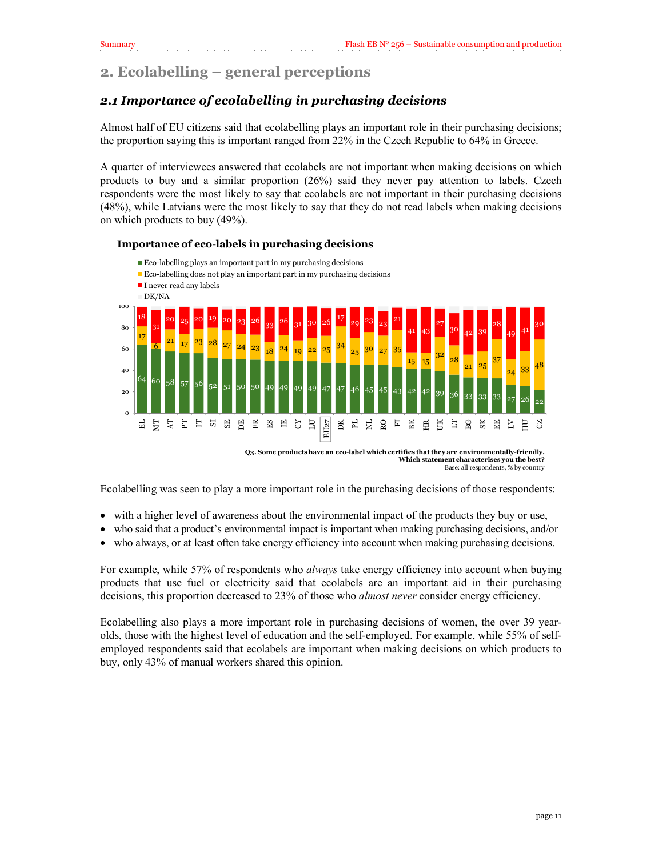# <span id="page-10-0"></span>**2. Ecolabelling – general perceptions**

# *2.1 Importance of ecolabelling in purchasing decisions*

Almost half of EU citizens said that ecolabelling plays an important role in their purchasing decisions; the proportion saying this is important ranged from 22% in the Czech Republic to 64% in Greece.

A quarter of interviewees answered that ecolabels are not important when making decisions on which products to buy and a similar proportion (26%) said they never pay attention to labels. Czech respondents were the most likely to say that ecolabels are not important in their purchasing decisions (48%), while Latvians were the most likely to say that they do not read labels when making decisions on which products to buy (49%).

#### **Importance of eco-labels in purchasing decisions**



Base: all respondents, % by country

Ecolabelling was seen to play a more important role in the purchasing decisions of those respondents:

- with a higher level of awareness about the environmental impact of the products they buy or use,
- who said that a product's environmental impact is important when making purchasing decisions, and/or
- who always, or at least often take energy efficiency into account when making purchasing decisions.

For example, while 57% of respondents who *always* take energy efficiency into account when buying products that use fuel or electricity said that ecolabels are an important aid in their purchasing decisions, this proportion decreased to 23% of those who *almost never* consider energy efficiency.

Ecolabelling also plays a more important role in purchasing decisions of women, the over 39 yearolds, those with the highest level of education and the self-employed. For example, while 55% of selfemployed respondents said that ecolabels are important when making decisions on which products to buy, only 43% of manual workers shared this opinion.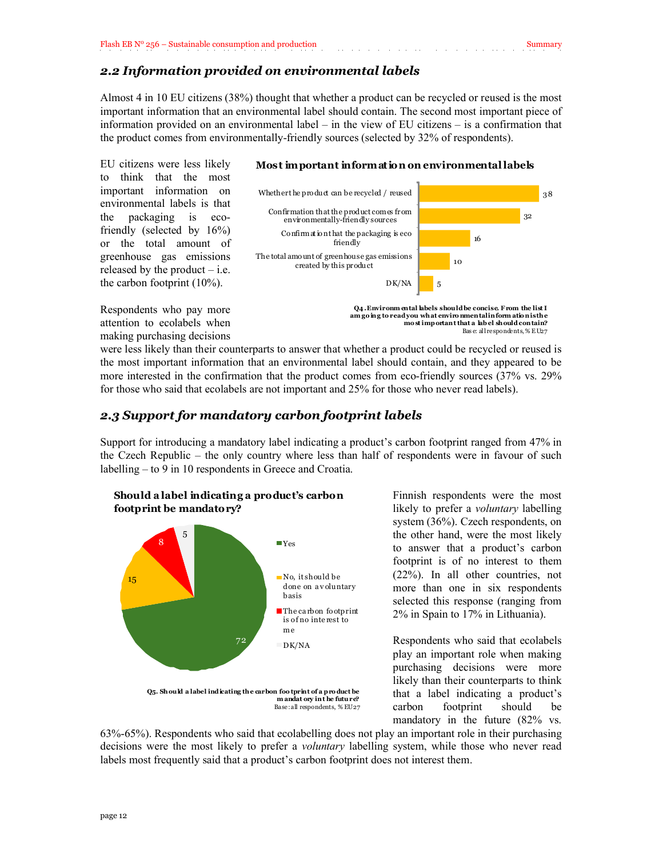### *2.2 Information provided on environmental labels*

Almost 4 in 10 EU citizens (38%) thought that whether a product can be recycled or reused is the most important information that an environmental label should contain. The second most important piece of information provided on an environmental label – in the view of EU citizens – is a confirmation that the product comes from environmentally-friendly sources (selected by 32% of respondents).

EU citizens were less likely to think that the most important information on environmental labels is that the packaging is ecofriendly (selected by 16%) or the total amount of greenhouse gas emissions released by the product  $-$  i.e. the carbon footprint (10%).

Respondents who pay more attention to ecolabels when making purchasing decisions

#### **Most important information on environmental labels**



**am go ing to read you what enviro nmental inform atio n is the mo st importan t that a lab el should contain?** Bas e: all respondents, % E U27

<span id="page-11-0"></span>were less likely than their counterparts to answer that whether a product could be recycled or reused is the most important information that an environmental label should contain, and they appeared to be more interested in the confirmation that the product comes from eco-friendly sources (37% vs. 29% for those who said that ecolabels are not important and 25% for those who never read labels).

#### *2.3 Support for mandatory carbon footprint labels*

Support for introducing a mandatory label indicating a product's carbon footprint ranged from 47% in the Czech Republic – the only country where less than half of respondents were in favour of such labelling – to 9 in 10 respondents in Greece and Croatia.



Finnish respondents were the most likely to prefer a *voluntary* labelling system (36%). Czech respondents, on the other hand, were the most likely to answer that a product's carbon footprint is of no interest to them (22%). In all other countries, not more than one in six respondents selected this response (ranging from 2% in Spain to 17% in Lithuania).

Respondents who said that ecolabels play an important role when making purchasing decisions were more likely than their counterparts to think that a label indicating a product's carbon footprint should be mandatory in the future (82% vs.

63%-65%). Respondents who said that ecolabelling does not play an important role in their purchasing decisions were the most likely to prefer a *voluntary* labelling system, while those who never read labels most frequently said that a product's carbon footprint does not interest them.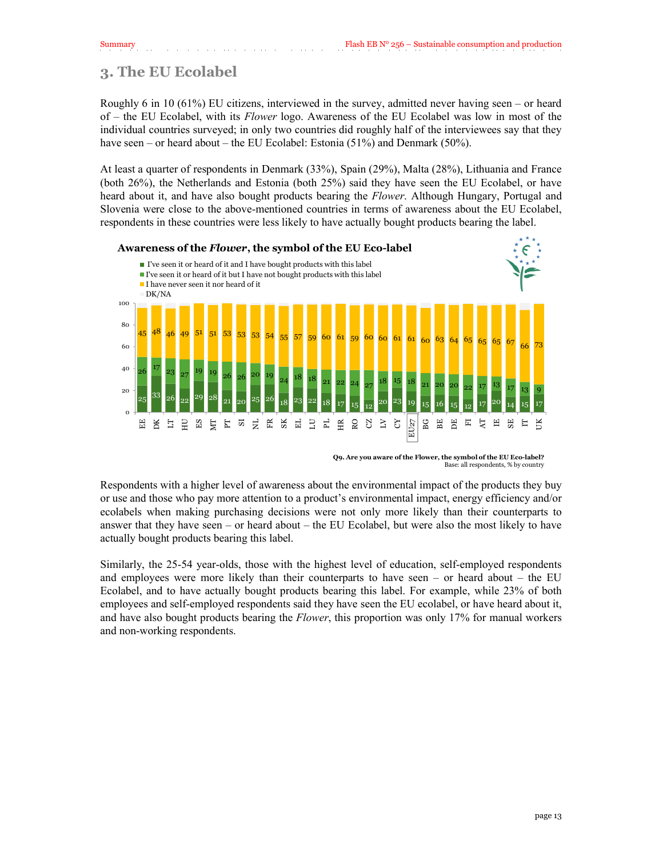# **3. The EU Ecolabel**

Roughly 6 in 10 (61%) EU citizens, interviewed in the survey, admitted never having seen – or heard of – the EU Ecolabel, with its *Flower* logo. Awareness of the EU Ecolabel was low in most of the individual countries surveyed; in only two countries did roughly half of the interviewees say that they have seen – or heard about – the EU Ecolabel: Estonia (51%) and Denmark (50%).

At least a quarter of respondents in Denmark (33%), Spain (29%), Malta (28%), Lithuania and France (both 26%), the Netherlands and Estonia (both 25%) said they have seen the EU Ecolabel, or have heard about it, and have also bought products bearing the *Flower*. Although Hungary, Portugal and Slovenia were close to the above-mentioned countries in terms of awareness about the EU Ecolabel, respondents in these countries were less likely to have actually bought products bearing the label.



**Q9. Are you aware of the Flower, the symbol of the EU Eco-label?** Base: all respondents, % by country

Respondents with a higher level of awareness about the environmental impact of the products they buy or use and those who pay more attention to a product's environmental impact, energy efficiency and/or ecolabels when making purchasing decisions were not only more likely than their counterparts to answer that they have seen – or heard about – the EU Ecolabel, but were also the most likely to have actually bought products bearing this label.

<span id="page-12-0"></span>Similarly, the 25-54 year-olds, those with the highest level of education, self-employed respondents and employees were more likely than their counterparts to have seen – or heard about – the EU Ecolabel, and to have actually bought products bearing this label. For example, while 23% of both employees and self-employed respondents said they have seen the EU ecolabel, or have heard about it, and have also bought products bearing the *Flower*, this proportion was only 17% for manual workers and non-working respondents.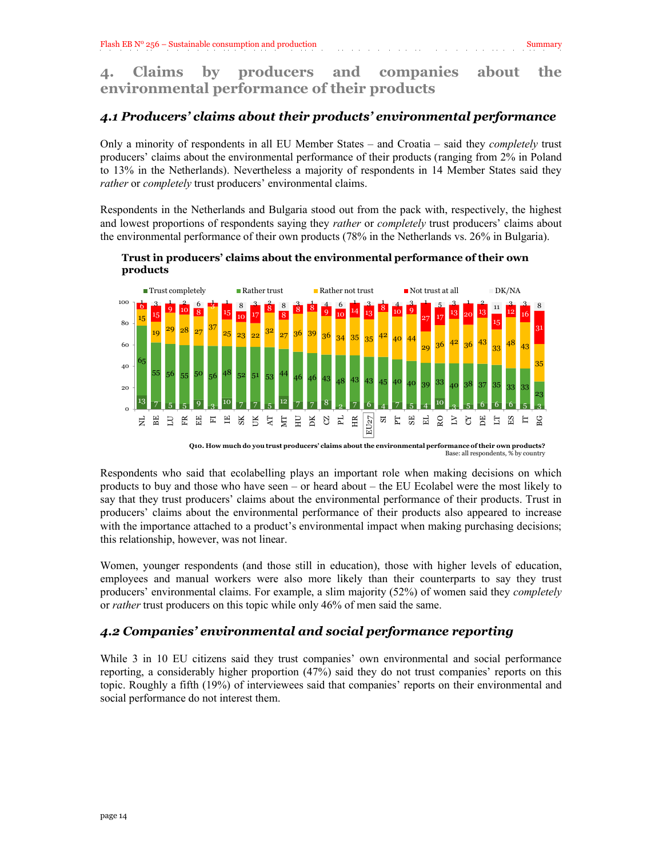# <span id="page-13-0"></span>*4.1 Producers' claims about their products' environmental performance*

Only a minority of respondents in all EU Member States – and Croatia – said they *completely* trust producers' claims about the environmental performance of their products (ranging from 2% in Poland to 13% in the Netherlands). Nevertheless a majority of respondents in 14 Member States said they *rather* or *completely* trust producers' environmental claims.

Respondents in the Netherlands and Bulgaria stood out from the pack with, respectively, the highest and lowest proportions of respondents saying they *rather* or *completely* trust producers' claims about the environmental performance of their own products (78% in the Netherlands vs. 26% in Bulgaria).



#### **Trust in producers' claims about the environmental performance of their own products**

**Q10. How much do you trust producers' claims about the environmental performance of their own products?** Base: all respondents, % by country

Respondents who said that ecolabelling plays an important role when making decisions on which products to buy and those who have seen – or heard about – the EU Ecolabel were the most likely to say that they trust producers' claims about the environmental performance of their products. Trust in producers' claims about the environmental performance of their products also appeared to increase with the importance attached to a product's environmental impact when making purchasing decisions; this relationship, however, was not linear.

<span id="page-13-1"></span>Women, younger respondents (and those still in education), those with higher levels of education, employees and manual workers were also more likely than their counterparts to say they trust producers' environmental claims. For example, a slim majority (52%) of women said they *completely* or *rather* trust producers on this topic while only 46% of men said the same.

# *4.2 Companies' environmental and social performance reporting*

While 3 in 10 EU citizens said they trust companies' own environmental and social performance reporting, a considerably higher proportion (47%) said they do not trust companies' reports on this topic. Roughly a fifth (19%) of interviewees said that companies' reports on their environmental and social performance do not interest them.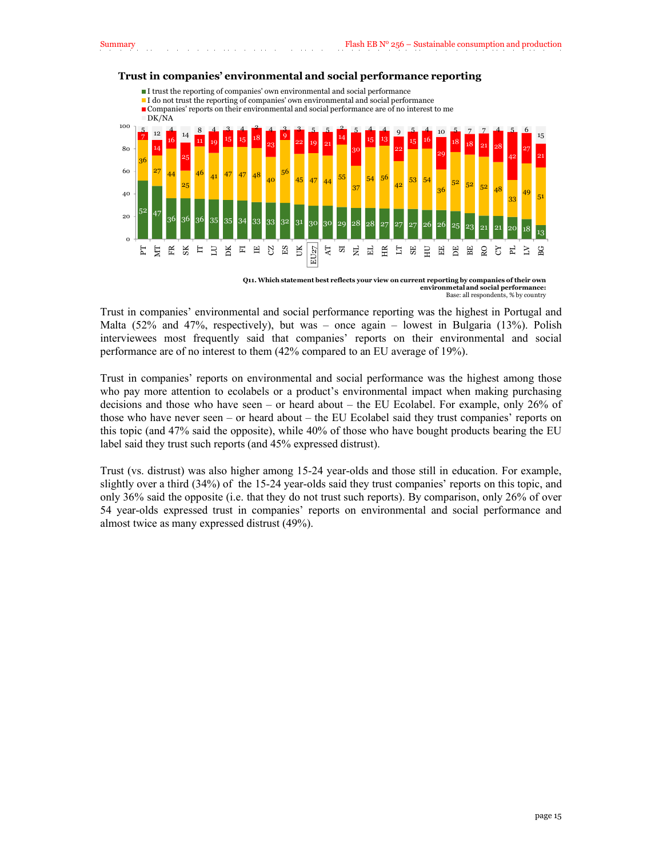

#### **Trust in companies' environmental and social performance reporting**

**Q11. Which statement best reflects your view on current reporting by companies of their own environmetal and social performance:**  Base: all respondents, % by country

Trust in companies' environmental and social performance reporting was the highest in Portugal and Malta (52% and 47%, respectively), but was – once again – lowest in Bulgaria (13%). Polish interviewees most frequently said that companies' reports on their environmental and social performance are of no interest to them (42% compared to an EU average of 19%).

Trust in companies' reports on environmental and social performance was the highest among those who pay more attention to ecolabels or a product's environmental impact when making purchasing decisions and those who have seen – or heard about – the EU Ecolabel. For example, only 26% of those who have never seen – or heard about – the EU Ecolabel said they trust companies' reports on this topic (and 47% said the opposite), while 40% of those who have bought products bearing the EU label said they trust such reports (and 45% expressed distrust).

Trust (vs. distrust) was also higher among 15-24 year-olds and those still in education. For example, slightly over a third (34%) of the 15-24 year-olds said they trust companies' reports on this topic, and only 36% said the opposite (i.e. that they do not trust such reports). By comparison, only 26% of over 54 year-olds expressed trust in companies' reports on environmental and social performance and almost twice as many expressed distrust (49%).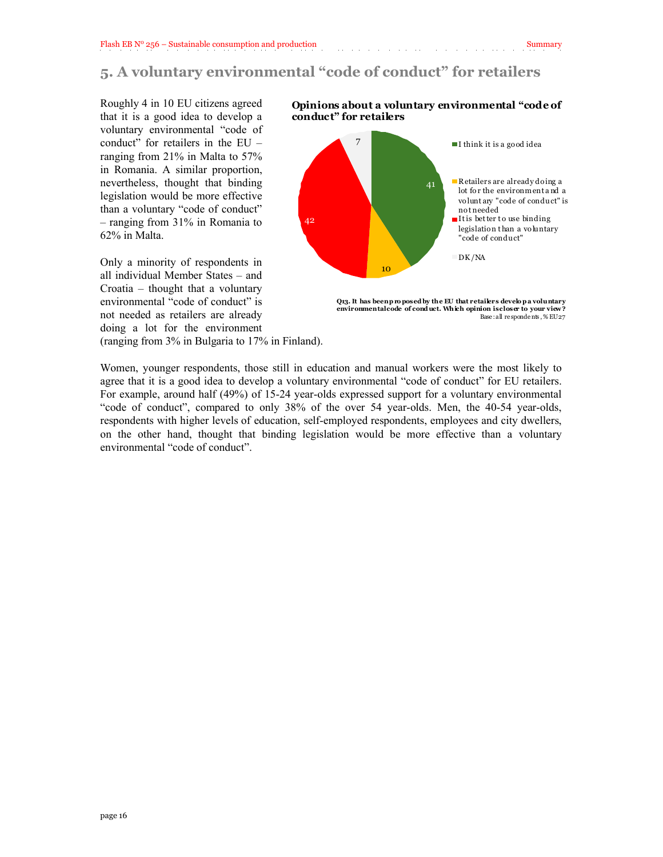# **5. A voluntary environmental "code of conduct" for retailers**

Roughly 4 in 10 EU citizens agreed that it is a good idea to develop a voluntary environmental "code of conduct" for retailers in the EU – ranging from 21% in Malta to 57% in Romania. A similar proportion, nevertheless, thought that binding legislation would be more effective than a voluntary "code of conduct" – ranging from 31% in Romania to 62% in Malta.

Only a minority of respondents in all individual Member States – and Croatia – thought that a voluntary environmental "code of conduct" is not needed as retailers are already doing a lot for the environment **Opinions about a voluntary environmental "code of conduct" for retailers**



**Q13. It has been p ro posed by the EU that retailers develo p a voluntary environmental code of cond uct. Which opinion is closer to your view ?** Base : all re sponde nts , % EU27

(ranging from 3% in Bulgaria to 17% in Finland).

Women, younger respondents, those still in education and manual workers were the most likely to agree that it is a good idea to develop a voluntary environmental "code of conduct" for EU retailers. For example, around half (49%) of 15-24 year-olds expressed support for a voluntary environmental "code of conduct", compared to only 38% of the over 54 year-olds. Men, the 40-54 year-olds, respondents with higher levels of education, self-employed respondents, employees and city dwellers, on the other hand, thought that binding legislation would be more effective than a voluntary environmental "code of conduct".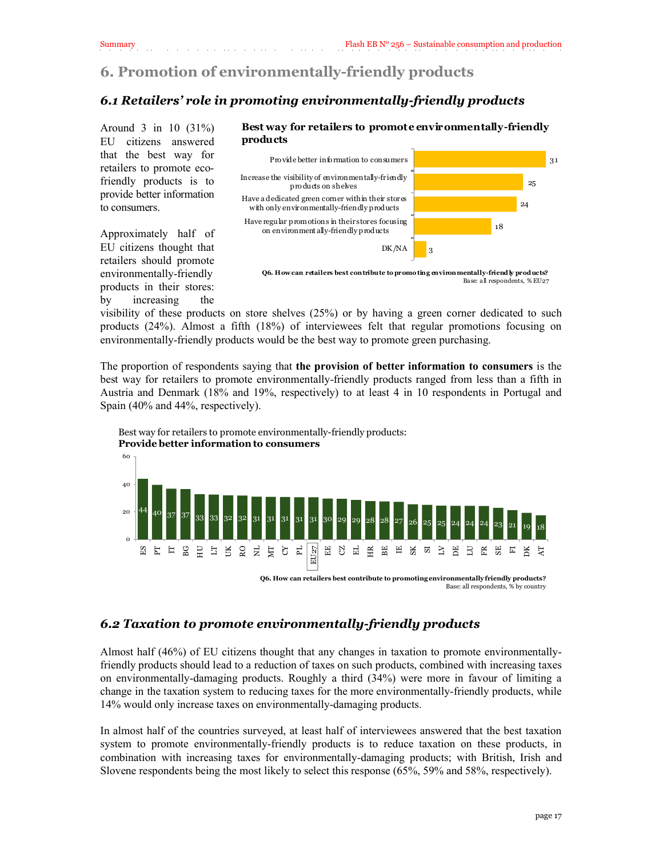# <span id="page-16-1"></span><span id="page-16-0"></span>**6. Promotion of environmentally-friendly products**

### *6.1 Retailers' role in promoting environmentally-friendly products*

Around 3 in 10 (31%) EU citizens answered that the best way for retailers to promote ecofriendly products is to provide better information to consumers.

Approximately half of EU citizens thought that retailers should promote environmentally-friendly products in their stores: by increasing the



**Best way for retailers to promote environmentally-friendly** 

**Q6. How can retailers best contribute to promo ting environmentally-friend ly prod ucts?** Base: all respondents, % EU27

visibility of these products on store shelves (25%) or by having a green corner dedicated to such products (24%). Almost a fifth (18%) of interviewees felt that regular promotions focusing on environmentally-friendly products would be the best way to promote green purchasing.

The proportion of respondents saying that **the provision of better information to consumers** is the best way for retailers to promote environmentally-friendly products ranged from less than a fifth in Austria and Denmark (18% and 19%, respectively) to at least 4 in 10 respondents in Portugal and Spain (40% and 44%, respectively).

<span id="page-16-2"></span>



# *6.2 Taxation to promote environmentally-friendly products*

Almost half (46%) of EU citizens thought that any changes in taxation to promote environmentallyfriendly products should lead to a reduction of taxes on such products, combined with increasing taxes on environmentally-damaging products. Roughly a third (34%) were more in favour of limiting a change in the taxation system to reducing taxes for the more environmentally-friendly products, while 14% would only increase taxes on environmentally-damaging products.

In almost half of the countries surveyed, at least half of interviewees answered that the best taxation system to promote environmentally-friendly products is to reduce taxation on these products, in combination with increasing taxes for environmentally-damaging products; with British, Irish and Slovene respondents being the most likely to select this response (65%, 59% and 58%, respectively).